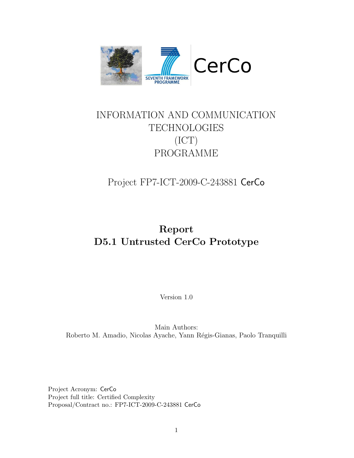

# INFORMATION AND COMMUNICATION TECHNOLOGIES (ICT) PROGRAMME

Project FP7-ICT-2009-C-243881 CerCo

# Report D5.1 Untrusted CerCo Prototype

Version 1.0

Main Authors: Roberto M. Amadio, Nicolas Ayache, Yann Régis-Gianas, Paolo Tranquilli

Project Acronym: CerCo Project full title: Certified Complexity Proposal/Contract no.: FP7-ICT-2009-C-243881 CerCo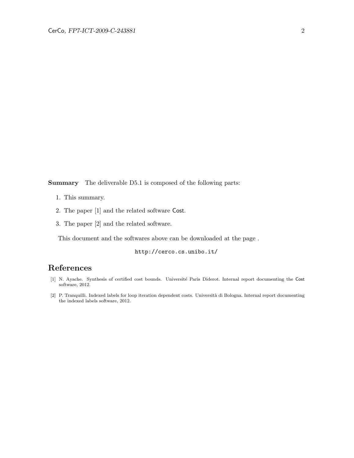Summary The deliverable D5.1 is composed of the following parts:

- 1. This summary.
- 2. The paper [\[1\]](#page-1-0) and the related software Cost.
- 3. The paper [\[2\]](#page-1-1) and the related software.

This document and the softwares above can be downloaded at the page .

http://cerco.cs.unibo.it/

## References

- <span id="page-1-0"></span>[1] N. Ayache. Synthesis of certified cost bounds. Université Paris Diderot. Internal report documenting the Cost software, 2012.
- <span id="page-1-1"></span>[2] P. Tranquilli. Indexed labels for loop iteration dependent costs. Universit`a di Bologna. Internal report documenting the indexed labels software, 2012.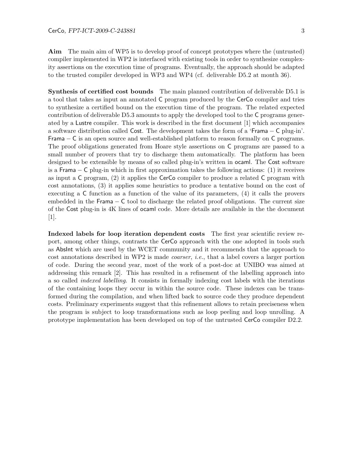Aim The main aim of WP5 is to develop proof of concept prototypes where the (untrusted) compiler implemented in WP2 is interfaced with existing tools in order to synthesize complexity assertions on the execution time of programs. Eventually, the approach should be adapted to the trusted compiler developed in WP3 and WP4 (cf. deliverable D5.2 at month 36).

Synthesis of certified cost bounds The main planned contribution of deliverable D5.1 is a tool that takes as input an annotated C program produced by the CerCo compiler and tries to synthesize a certified bound on the execution time of the program. The related expected contribution of deliverable D5.3 amounts to apply the developed tool to the C programs generated by a Lustre compiler. This work is described in the first document [\[1\]](#page-1-0) which accompanies a software distribution called Cost. The development takes the form of a 'Frama − C plug-in'. Frama  $-$  C is an open source and well-established platform to reason formally on C programs. The proof obligations generated from Hoare style assertions on C programs are passed to a small number of provers that try to discharge them automatically. The platform has been designed to be extensible by means of so called plug-in's written in ocaml. The Cost software is a Frama − C plug-in which in first approximation takes the following actions: (1) it receives as input a C program, (2) it applies the CerCo compiler to produce a related C program with cost annotations, (3) it applies some heuristics to produce a tentative bound on the cost of executing a C function as a function of the value of its parameters, (4) it calls the provers embedded in the Frama  $-$  C tool to discharge the related proof obligations. The current size of the Cost plug-in is 4K lines of ocaml code. More details are available in the the document [\[1\]](#page-1-0).

Indexed labels for loop iteration dependent costs The first year scientific review report, among other things, contrasts the CerCo approach with the one adopted in tools such as AbsInt which are used by the WCET community and it recommends that the approach to cost annotations described in WP2 is made coarser, i.e., that a label covers a larger portion of code. During the second year, most of the work of a post-doc at UNIBO was aimed at addressing this remark [\[2\]](#page-1-1). This has resulted in a refinement of the labelling approach into a so called indexed labelling. It consists in formally indexing cost labels with the iterations of the containing loops they occur in within the source code. These indexes can be transformed during the compilation, and when lifted back to source code they produce dependent costs. Preliminary experiments suggest that this refinement allows to retain preciseness when the program is subject to loop transformations such as loop peeling and loop unrolling. A prototype implementation has been developed on top of the untrusted CerCo compiler D2.2.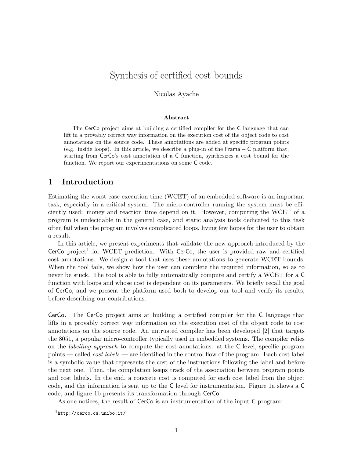## Synthesis of certified cost bounds

Nicolas Ayache

#### Abstract

The CerCo project aims at building a certified compiler for the C language that can lift in a provably correct way information on the execution cost of the object code to cost annotations on the source code. These annotations are added at specific program points (e.g. inside loops). In this article, we describe a plug-in of the Frama − C platform that, starting from CerCo's cost annotation of a C function, synthesizes a cost bound for the function. We report our experimentations on some C code.

## 1 Introduction

Estimating the worst case execution time (WCET) of an embedded software is an important task, especially in a critical system. The micro-controller running the system must be efficiently used: money and reaction time depend on it. However, computing the WCET of a program is undecidable in the general case, and static analysis tools dedicated to this task often fail when the program involves complicated loops, living few hopes for the user to obtain a result.

In this article, we present experiments that validate the new approach introduced by the  $Cerco project<sup>1</sup>$  for WCET prediction. With  $Cerco$ , the user is provided raw and certified cost annotations. We design a tool that uses these annotations to generate WCET bounds. When the tool fails, we show how the user can complete the required information, so as to never be stuck. The tool is able to fully automatically compute and certify a WCET for a C function with loops and whose cost is dependent on its parameters. We briefly recall the goal of CerCo, and we present the platform used both to develop our tool and verify its results, before describing our contributions.

CerCo. The CerCo project aims at building a certified compiler for the C language that lifts in a provably correct way information on the execution cost of the object code to cost annotations on the source code. An untrusted compiler has been developed [2] that targets the 8051, a popular micro-controller typically used in embedded systems. The compiler relies on the labelling approach to compute the cost annotations: at the C level, specific program points — called *cost labels* — are identified in the control flow of the program. Each cost label is a symbolic value that represents the cost of the instructions following the label and before the next one. Then, the compilation keeps track of the association between program points and cost labels. In the end, a concrete cost is computed for each cost label from the object code, and the information is sent up to the C level for instrumentation. Figure 1a shows a C code, and figure 1b presents its transformation through CerCo.

As one notices, the result of CerCo is an instrumentation of the input C program:

<sup>1</sup> http://cerco.cs.unibo.it/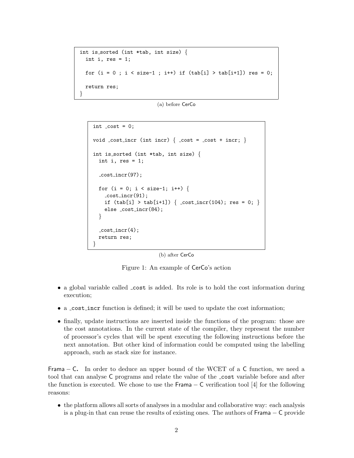```
int is sorted (int *tab, int size) {
 int i, res = 1;
 for (i = 0; i < size-1; i++) if (tab[i] > tab[i+1]) res = 0;
 return res;
}
```
(a) before CerCo

```
int cost = 0;
void \text{cost} incr (int incr) { \text{cost} = \text{cost} + incr; }
int is sorted (int *tab, int size) {
 int i, res = 1;
  cost incr(97);
 for (i = 0; i < size-1; i++) {
    cost_incr(91);if (tab[i] > tab[i+1]) \{ cost_incr(104); res = 0; \}else cost incr(84);
  }
  \_cost\_incr(4);return res;
}
```
(b) after CerCo

Figure 1: An example of CerCo's action

- a global variable called  $\text{\_cost}$  is added. Its role is to hold the cost information during execution;
- a cost incr function is defined; it will be used to update the cost information;
- finally, update instructions are inserted inside the functions of the program: those are the cost annotations. In the current state of the compiler, they represent the number of processor's cycles that will be spent executing the following instructions before the next annotation. But other kind of information could be computed using the labelling approach, such as stack size for instance.

Frama  $-$  C. In order to deduce an upper bound of the WCET of a C function, we need a tool that can analyse C programs and relate the value of the cost variable before and after the function is executed. We chose to use the Frama  $-$  C verification tool [4] for the following reasons:

• the platform allows all sorts of analyses in a modular and collaborative way: each analysis is a plug-in that can reuse the results of existing ones. The authors of Frama − C provide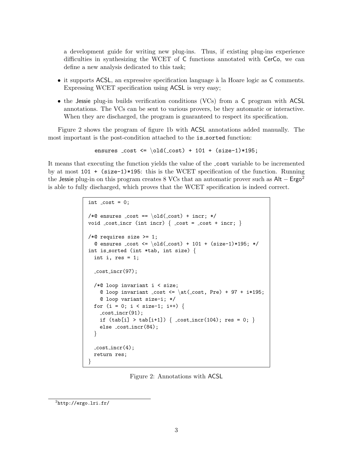a development guide for writing new plug-ins. Thus, if existing plug-ins experience difficulties in synthesizing the WCET of C functions annotated with CerCo, we can define a new analysis dedicated to this task;

- it supports ACSL, an expressive specification language à la Hoare logic as C comments. Expressing WCET specification using ACSL is very easy;
- the Jessie plug-in builds verification conditions (VCs) from a C program with ACSL annotations. The VCs can be sent to various provers, be they automatic or interactive. When they are discharged, the program is guaranteed to respect its specification.

Figure 2 shows the program of figure 1b with ACSL annotations added manually. The most important is the post-condition attached to the is sorted function:

ensures  $cost \le \old(\cost) + 101 + (size-1)*195;$ 

It means that executing the function yields the value of the cost variable to be incremented by at most 101 + (size-1)\*195: this is the WCET specification of the function. Running the Jessie plug-in on this program creates 8 VCs that an automatic prover such as Alt – Ergo<sup>2</sup> is able to fully discharged, which proves that the WCET specification is indeed correct.

```
int cost = 0;
/*@ ensures cost == \old(cost) + incr; */void cost incr (int incr) { \text{cost} = \text{cost} + \text{incr}; }
/*@ requires size >= 1;
  @ ensures _cost <= \cdot \old(_cost) + 101 + (size-1)*195; */
int is_sorted (int *tab, int size) \{int i, res = 1;
  cost incr(97);
  /*@ loop invariant i < size;
    @ loop invariant _cost <= \atop \text{cost}, Pre) + 97 + i*195;
    @ loop variant size-i; */
  for (i = 0; i < size-1; i++) {
    cost_incr(91);if (tab[i] > tab[i+1]) \{ cost_incr(104); res = 0; \}else cost incr(84);
  }
  cost_incr(4);
  return res;
}
```
Figure 2: Annotations with ACSL

 $^2$ http://ergo.lri.fr/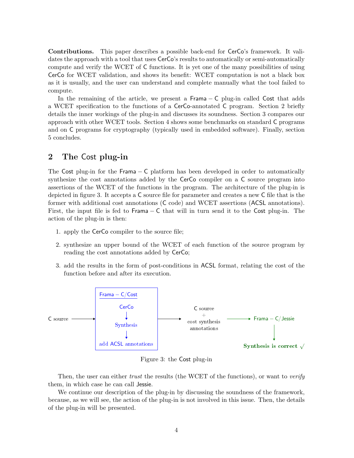Contributions. This paper describes a possible back-end for CerCo's framework. It validates the approach with a tool that uses CerCo's results to automatically or semi-automatically compute and verify the WCET of C functions. It is yet one of the many possibilities of using CerCo for WCET validation, and shows its benefit: WCET computation is not a black box as it is usually, and the user can understand and complete manually what the tool failed to compute.

In the remaining of the article, we present a Frama − C plug-in called Cost that adds a WCET specification to the functions of a CerCo-annotated C program. Section 2 briefly details the inner workings of the plug-in and discusses its soundness. Section 3 compares our approach with other WCET tools. Section 4 shows some benchmarks on standard C programs and on C programs for cryptography (typically used in embedded software). Finally, section 5 concludes.

## 2 The Cost plug-in

The Cost plug-in for the Frama  $-$  C platform has been developed in order to automatically synthesize the cost annotations added by the CerCo compiler on a C source program into assertions of the WCET of the functions in the program. The architecture of the plug-in is depicted in figure 3. It accepts a C source file for parameter and creates a new C file that is the former with additional cost annotations (C code) and WCET assertions (ACSL annotations). First, the input file is fed to Frama − C that will in turn send it to the Cost plug-in. The action of the plug-in is then:

- 1. apply the CerCo compiler to the source file;
- 2. synthesize an upper bound of the WCET of each function of the source program by reading the cost annotations added by CerCo;
- 3. add the results in the form of post-conditions in ACSL format, relating the cost of the function before and after its execution.



Figure 3: the Cost plug-in

Then, the user can either *trust* the results (the WCET of the functions), or want to *verify* them, in which case he can call Jessie.

We continue our description of the plug-in by discussing the soundness of the framework, because, as we will see, the action of the plug-in is not involved in this issue. Then, the details of the plug-in will be presented.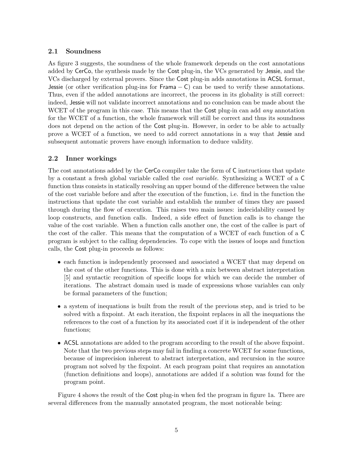### 2.1 Soundness

As figure 3 suggests, the soundness of the whole framework depends on the cost annotations added by CerCo, the synthesis made by the Cost plug-in, the VCs generated by Jessie, and the VCs discharged by external provers. Since the Cost plug-in adds annotations in ACSL format, Jessie (or other verification plug-ins for Frama – C) can be used to verify these annotations. Thus, even if the added annotations are incorrect, the process in its globality is still correct: indeed, Jessie will not validate incorrect annotations and no conclusion can be made about the WCET of the program in this case. This means that the Cost plug-in can add *any* annotation for the WCET of a function, the whole framework will still be correct and thus its soundness does not depend on the action of the Cost plug-in. However, in order to be able to actually prove a WCET of a function, we need to add correct annotations in a way that Jessie and subsequent automatic provers have enough information to deduce validity.

### 2.2 Inner workings

The cost annotations added by the CerCo compiler take the form of C instructions that update by a constant a fresh global variable called the cost variable. Synthesizing a WCET of a C function thus consists in statically resolving an upper bound of the difference between the value of the cost variable before and after the execution of the function, i.e. find in the function the instructions that update the cost variable and establish the number of times they are passed through during the flow of execution. This raises two main issues: indecidability caused by loop constructs, and function calls. Indeed, a side effect of function calls is to change the value of the cost variable. When a function calls another one, the cost of the callee is part of the cost of the caller. This means that the computation of a WCET of each function of a C program is subject to the calling dependencies. To cope with the issues of loops and function calls, the Cost plug-in proceeds as follows:

- each function is independently processed and associated a WCET that may depend on the cost of the other functions. This is done with a mix between abstract interpretation [5] and syntactic recognition of specific loops for which we can decide the number of iterations. The abstract domain used is made of expressions whose variables can only be formal parameters of the function;
- a system of inequations is built from the result of the previous step, and is tried to be solved with a fixpoint. At each iteration, the fixpoint replaces in all the inequations the references to the cost of a function by its associated cost if it is independent of the other functions;
- ACSL annotations are added to the program according to the result of the above fixpoint. Note that the two previous steps may fail in finding a concrete WCET for some functions, because of imprecision inherent to abstract interpretation, and recursion in the source program not solved by the fixpoint. At each program point that requires an annotation (function definitions and loops), annotations are added if a solution was found for the program point.

Figure 4 shows the result of the Cost plug-in when fed the program in figure 1a. There are several differences from the manually annotated program, the most noticeable being: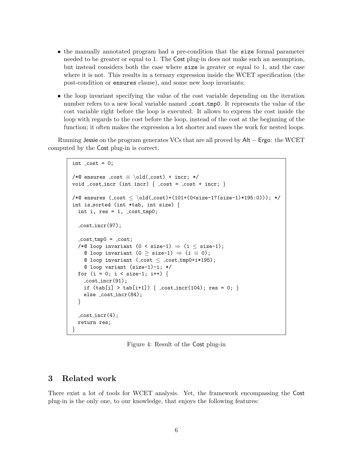- the manually annotated program had a pre-condition that the size formal parameter needed to be greater or equal to 1. The Cost plug-in does not make such an assumption, but instead considers both the case where size is greater or equal to 1, and the case where it is not. This results in a ternary expression inside the WCET specification (the post-condition or ensures clause), and some new loop invariants;
- the loop invariant specifying the value of the cost variable depending on the iteration number refers to a new local variable named \_cost\_tmp0. It represents the value of the cost variable right before the loop is executed. It allows to express the cost inside the loop with regards to the cost before the loop, instead of the cost at the beginning of the function; it often makes the expression a lot shorter and eases the work for nested loops.

Running Jessie on the program generates VCs that are all proved by Alt − Ergo: the WCET computed by the Cost plug-in is correct.

```
int \text{cost} = 0;
/*@ ensures cost \equiv \cdot old(cost) + incr; */
void \text{cost} incr (int incr) { \text{cost} = \text{cost} + incr; }
/*@ ensures (\text{cost} \leq \old(\text{cost})+(101+(0\times 12e-1?(\text{size}-1)*195:0))); */
int is sorted (int *tab, int size) {
  int i, res = 1, _cost_tmp0;
  cost incr(97);
  -cost_tmp0 = cost;/*@ loop invariant (0 < size-1) \Rightarrow (i \leq size-1);© loop invariant (0 ≥ size-1) \Rightarrow (i \equiv 0);
    @ loop invariant (\text{cost} \leq \text{cost}_tmp0+i*195);
    @ loop variant (size-1)-i; */
  for (i = 0; i < size-1; i++) {
    cost_incr(91);if (tab[i] > tab[i+1]) { cost_incr(104); res = 0; }
    else cost incr(84);
  }
  -cost_incr(4);return res;
}
```
Figure 4: Result of the Cost plug-in

## 3 Related work

There exist a lot of tools for WCET analysis. Yet, the framework encompassing the Cost plug-in is the only one, to our knowledge, that enjoys the following features: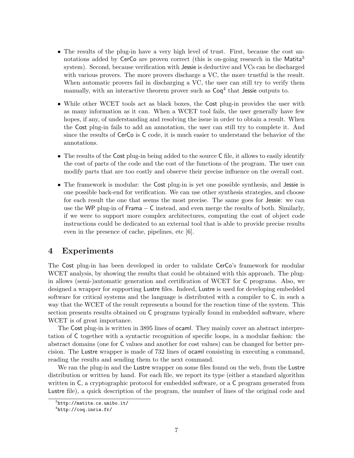- The results of the plug-in have a very high level of trust. First, because the cost annotations added by CerCo are proven correct (this is on-going research in the Matita<sup>3</sup> system). Second, because verification with Jessie is deductive and VCs can be discharged with various provers. The more provers discharge a VC, the more trustful is the result. When automatic provers fail in discharging a VC, the user can still try to verify them manually, with an interactive theorem prover such as  $\textsf{Coq}^4$  that Jessie outputs to.
- While other WCET tools act as black boxes, the Cost plug-in provides the user with as many information as it can. When a WCET tool fails, the user generally have few hopes, if any, of understanding and resolving the issue in order to obtain a result. When the Cost plug-in fails to add an annotation, the user can still try to complete it. And since the results of CerCo is C code, it is much easier to understand the behavior of the annotations.
- The results of the Cost plug-in being added to the source C file, it allows to easily identify the cost of parts of the code and the cost of the functions of the program. The user can modify parts that are too costly and observe their precise influence on the overall cost.
- The framework is modular: the Cost plug-in is yet one possible synthesis, and Jessie is one possible back-end for verification. We can use other synthesis strategies, and choose for each result the one that seems the most precise. The same goes for Jessie: we can use the WP plug-in of Frama − C instead, and even merge the results of both. Similarly, if we were to support more complex architectures, computing the cost of object code instructions could be dedicated to an external tool that is able to provide precise results even in the presence of cache, pipelines, etc [6].

## 4 Experiments

The Cost plug-in has been developed in order to validate CerCo's framework for modular WCET analysis, by showing the results that could be obtained with this approach. The plugin allows (semi-)automatic generation and certification of WCET for C programs. Also, we designed a wrapper for supporting Lustre files. Indeed, Lustre is used for developing embedded software for critical systems and the language is distributed with a compiler to C, in such a way that the WCET of the result represents a bound for the reaction time of the system. This section presents results obtained on C programs typically found in embedded software, where WCET is of great importance.

The Cost plug-in is written in 3895 lines of ocaml. They mainly cover an abstract interpretation of C together with a syntactic recognition of specific loops, in a modular fashion: the abstract domains (one for C values and another for cost values) can be changed for better precision. The Lustre wrapper is made of 732 lines of ocaml consisting in executing a command, reading the results and sending them to the next command.

We ran the plug-in and the Lustre wrapper on some files found on the web, from the Lustre distribution or written by hand. For each file, we report its type (either a standard algorithm written in C, a cryptographic protocol for embedded software, or a C program generated from Lustre file), a quick description of the program, the number of lines of the original code and

 ${}^{3}$ http://matita.cs.unibo.it/

 $^4$ http://coq.inria.fr/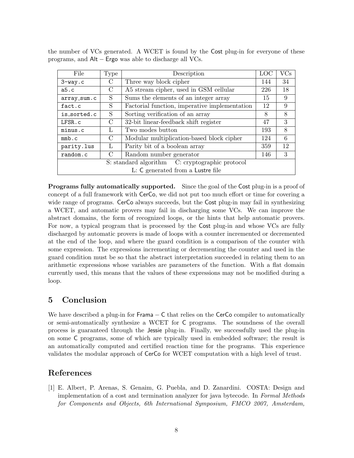| File                                            | Type          | Description                                   |     | $\rm VCs$ |  |  |
|-------------------------------------------------|---------------|-----------------------------------------------|-----|-----------|--|--|
| 3-way.c                                         | $\rm C$       | Three way block cipher                        |     | 34        |  |  |
| a5.c                                            | $\mathcal{C}$ | A5 stream cipher, used in GSM cellular        |     | 18        |  |  |
| array_sum.c                                     | S             | Sums the elements of an integer array         |     | 9         |  |  |
| fact.c                                          | S             | Factorial function, imperative implementation |     | 9         |  |  |
| is sorted.c                                     | S             | Sorting verification of an array              |     | 8         |  |  |
| LFSR.c                                          | $\mathcal{C}$ | 32-bit linear-feedback shift register         |     | 3         |  |  |
| minus.c                                         | L             | Two modes button                              |     | 8         |  |  |
| $mmb$ .c                                        | $\mathcal{C}$ | Modular multiplication-based block cipher     |     | 6         |  |  |
| parity.lus                                      | L             | Parity bit of a boolean array                 |     | 12        |  |  |
| random.c                                        | $\mathcal{C}$ | Random number generator                       | 146 | 3         |  |  |
| S: standard algorithm C: cryptographic protocol |               |                                               |     |           |  |  |
| L: C generated from a Lustre file               |               |                                               |     |           |  |  |

the number of VCs generated. A WCET is found by the Cost plug-in for everyone of these programs, and Alt − Ergo was able to discharge all VCs.

Programs fully automatically supported. Since the goal of the Cost plug-in is a proof of concept of a full framework with CerCo, we did not put too much effort or time for covering a wide range of programs. CerCo always succeeds, but the Cost plug-in may fail in synthesizing a WCET, and automatic provers may fail in discharging some VCs. We can improve the abstract domains, the form of recognized loops, or the hints that help automatic provers. For now, a typical program that is processed by the Cost plug-in and whose VCs are fully discharged by automatic provers is made of loops with a counter incremented or decremented at the end of the loop, and where the guard condition is a comparison of the counter with some expression. The expressions incrementing or decrementing the counter and used in the guard condition must be so that the abstract interpretation succeeded in relating them to an arithmetic expressions whose variables are parameters of the function. With a flat domain currently used, this means that the values of these expressions may not be modified during a loop.

## 5 Conclusion

We have described a plug-in for  $Frame - C$  that relies on the CerCo compiler to automatically or semi-automatically synthesize a WCET for C programs. The soundness of the overall process is guaranteed through the Jessie plug-in. Finally, we successfully used the plug-in on some C programs, some of which are typically used in embedded software; the result is an automatically computed and certified reaction time for the programs. This experience validates the modular approach of CerCo for WCET computation with a high level of trust.

## References

[1] E. Albert, P. Arenas, S. Genaim, G. Puebla, and D. Zanardini. COSTA: Design and implementation of a cost and termination analyzer for java bytecode. In Formal Methods for Components and Objects, 6th International Symposium, FMCO 2007, Amsterdam,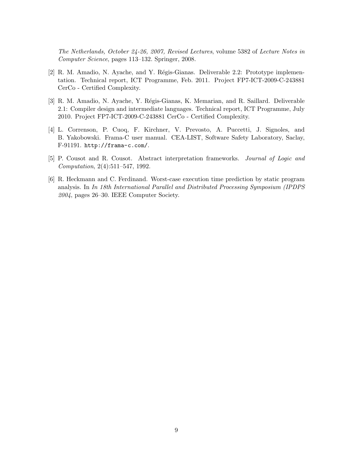The Netherlands, October 24-26, 2007, Revised Lectures, volume 5382 of Lecture Notes in Computer Science, pages 113–132. Springer, 2008.

- [2] R. M. Amadio, N. Ayache, and Y. Régis-Gianas. Deliverable 2.2: Prototype implementation. Technical report, ICT Programme, Feb. 2011. Project FP7-ICT-2009-C-243881 CerCo - Certified Complexity.
- [3] R. M. Amadio, N. Ayache, Y. Régis-Gianas, K. Memarian, and R. Saillard. Deliverable 2.1: Compiler design and intermediate languages. Technical report, ICT Programme, July 2010. Project FP7-ICT-2009-C-243881 CerCo - Certified Complexity.
- [4] L. Correnson, P. Cuoq, F. Kirchner, V. Prevosto, A. Puccetti, J. Signoles, and B. Yakobowski. Frama-C user manual. CEA-LIST, Software Safety Laboratory, Saclay, F-91191. http://frama-c.com/.
- [5] P. Cousot and R. Cousot. Abstract interpretation frameworks. Journal of Logic and Computation, 2(4):511–547, 1992.
- [6] R. Heckmann and C. Ferdinand. Worst-case execution time prediction by static program analysis. In In 18th International Parallel and Distributed Processing Symposium (IPDPS 2004, pages 26–30. IEEE Computer Society.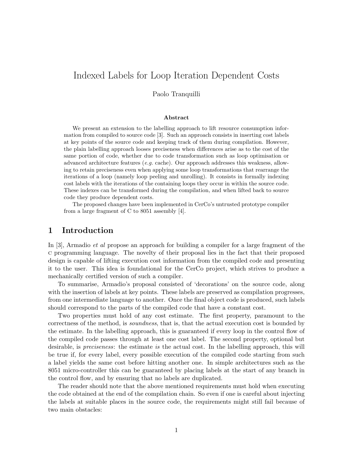## Indexed Labels for Loop Iteration Dependent Costs

Paolo Tranquilli

#### Abstract

We present an extension to the labelling approach to lift resource consumption information from compiled to source code [3]. Such an approach consists in inserting cost labels at key points of the source code and keeping track of them during compilation. However, the plain labelling approach looses preciseness when differences arise as to the cost of the same portion of code, whether due to code transformation such as loop optimisation or advanced architecture features (*e.g.* cache). Our approach addresses this weakness, allowing to retain preciseness even when applying some loop transformations that rearrange the iterations of a loop (namely loop peeling and unrolling). It consists in formally indexing cost labels with the iterations of the containing loops they occur in within the source code. These indexes can be transformed during the compilation, and when lifted back to source code they produce dependent costs.

The proposed changes have been implemented in CerCo's untrusted prototype compiler from a large fragment of C to 8051 assembly [4].

### 1 Introduction

In [3], Armadio *et al* propose an approach for building a compiler for a large fragment of the c programming language. The novelty of their proposal lies in the fact that their proposed design is capable of lifting execution cost information from the compiled code and presenting it to the user. This idea is foundational for the CerCo project, which strives to produce a mechanically certified version of such a compiler.

To summarise, Armadio's proposal consisted of 'decorations' on the source code, along with the insertion of labels at key points. These labels are preserved as compilation progresses, from one intermediate language to another. Once the final object code is produced, such labels should correspond to the parts of the compiled code that have a constant cost.

Two properties must hold of any cost estimate. The first property, paramount to the correctness of the method, is soundness, that is, that the actual execution cost is bounded by the estimate. In the labelling approach, this is guaranteed if every loop in the control flow of the compiled code passes through at least one cost label. The second property, optional but desirable, is *preciseness*: the estimate is the actual cost. In the labelling approach, this will be true if, for every label, every possible execution of the compiled code starting from such a label yields the same cost before hitting another one. In simple architectures such as the 8051 micro-controller this can be guaranteed by placing labels at the start of any branch in the control flow, and by ensuring that no labels are duplicated.

The reader should note that the above mentioned requirements must hold when executing the code obtained at the end of the compilation chain. So even if one is careful about injecting the labels at suitable places in the source code, the requirements might still fail because of two main obstacles: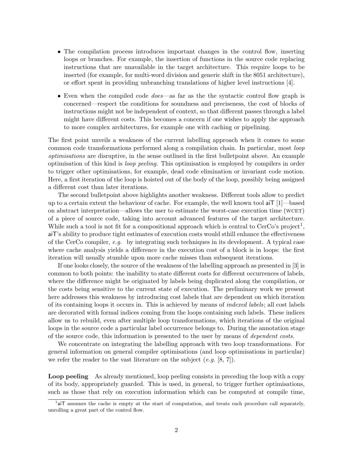- The compilation process introduces important changes in the control flow, inserting loops or branches. For example, the insertion of functions in the source code replacing instructions that are unavailable in the target architecture. This require loops to be inserted (for example, for multi-word division and generic shift in the 8051 architecture), or effort spent in providing unbranching translations of higher level instructions [4].
- Even when the compiled code *does*—as far as the the syntactic control flow graph is concerned—respect the conditions for soundness and preciseness, the cost of blocks of instructions might not be independent of context, so that different passes through a label might have different costs. This becomes a concern if one wishes to apply the approach to more complex architectures, for example one with caching or pipelining.

The first point unveils a weakness of the current labelling approach when it comes to some common code transformations performed along a compilation chain. In particular, most loop optimisations are disruptive, in the sense outlined in the first bulletpoint above. An example optimisation of this kind is loop peeling. This optimisation is employed by compilers in order to trigger other optimisations, for example, dead code elimination or invariant code motion. Here, a first iteration of the loop is hoisted out of the body of the loop, possibly being assigned a different cost than later iterations.

The second bulletpoint above highlights another weakness. Different tools allow to predict up to a certain extent the behaviour of cache. For example, the well known tool aiT [1]—based on abstract interpretation—allows the user to estimate the worst-case execution time (wcet) of a piece of source code, taking into account advanced features of the target architecture. While such a tool is not fit for a compositional approach which is central to CerCo's project<sup>1</sup>, aiT's ability to produce tight estimates of execution costs would sthill enhance the effectiveness of the CerCo compiler, e.g. by integrating such techniques in its development. A typical case where cache analysis yields a difference in the execution cost of a block is in loops: the first iteration will usually stumble upon more cache misses than subsequent iterations.

If one looks closely, the source of the weakness of the labelling approach as presented in [3] is common to both points: the inability to state different costs for different occurrences of labels, where the difference might be originated by labels being duplicated along the compilation, or the costs being sensitive to the current state of execution. The preliminary work we present here addresses this weakness by introducing cost labels that are dependent on which iteration of its containing loops it occurs in. This is achieved by means of indexed labels; all cost labels are decorated with formal indices coming from the loops containing such labels. These indices allow us to rebuild, even after multiple loop transformations, which iterations of the original loops in the source code a particular label occurrence belongs to. During the annotation stage of the source code, this information is presented to the user by means of dependent costs.

We concentrate on integrating the labelling approach with two loop transformations. For general information on general compiler optimisations (and loop optimisations in particular) we refer the reader to the vast literature on the subject  $(e.g. [8, 7])$ .

Loop peeling As already mentioned, loop peeling consists in preceding the loop with a copy of its body, appropriately guarded. This is used, in general, to trigger further optimisations, such as those that rely on execution information which can be computed at compile time,

<sup>&</sup>lt;sup>1</sup>aiT assumes the cache is empty at the start of computation, and treats each procedure call separately, unrolling a great part of the control flow.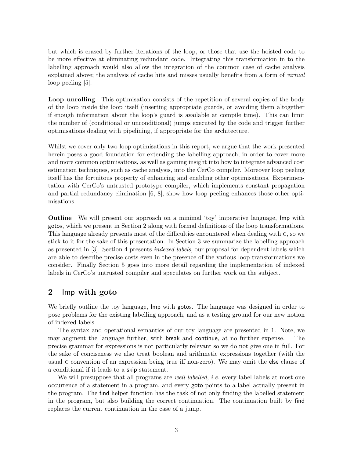but which is erased by further iterations of the loop, or those that use the hoisted code to be more effective at eliminating redundant code. Integrating this transformation in to the labelling approach would also allow the integration of the common case of cache analysis explained above; the analysis of cache hits and misses usually benefits from a form of *virtual* loop peeling [5].

Loop unrolling This optimisation consists of the repetition of several copies of the body of the loop inside the loop itself (inserting appropriate guards, or avoiding them altogether if enough information about the loop's guard is available at compile time). This can limit the number of (conditional or unconditional) jumps executed by the code and trigger further optimisations dealing with pipelining, if appropriate for the architecture.

Whilst we cover only two loop optimisations in this report, we argue that the work presented herein poses a good foundation for extending the labelling approach, in order to cover more and more common optimisations, as well as gaining insight into how to integrate advanced cost estimation techniques, such as cache analysis, into the CerCo compiler. Moreover loop peeling itself has the fortuitous property of enhancing and enabling other optimisations. Experimentation with CerCo's untrusted prototype compiler, which implements constant propagation and partial redundancy elimination [6, 8], show how loop peeling enhances those other optimisations.

Outline We will present our approach on a minimal 'toy' imperative language, Imp with gotos, which we present in Section 2 along with formal definitions of the loop transformations. This language already presents most of the difficulties encountered when dealing with c, so we stick to it for the sake of this presentation. In Section 3 we summarize the labelling approach as presented in [3]. Section 4 presents indexed labels, our proposal for dependent labels which are able to describe precise costs even in the presence of the various loop transformations we consider. Finally Section 5 goes into more detail regarding the implementation of indexed labels in CerCo's untrusted compiler and speculates on further work on the subject.

## 2 Imp with goto

We briefly outline the toy language, Imp with gotos. The language was designed in order to pose problems for the existing labelling approach, and as a testing ground for our new notion of indexed labels.

The syntax and operational semantics of our toy language are presented in 1. Note, we may augment the language further, with break and continue, at no further expense. The precise grammar for expressions is not particularly relevant so we do not give one in full. For the sake of conciseness we also treat boolean and arithmetic expressions together (with the usual c convention of an expression being true iff non-zero). We may omit the else clause of a conditional if it leads to a skip statement.

We will presuppose that all programs are *well-labelled, i.e.* every label labels at most one occurrence of a statement in a program, and every goto points to a label actually present in the program. The find helper function has the task of not only finding the labelled statement in the program, but also building the correct continuation. The continuation built by find replaces the current continuation in the case of a jump.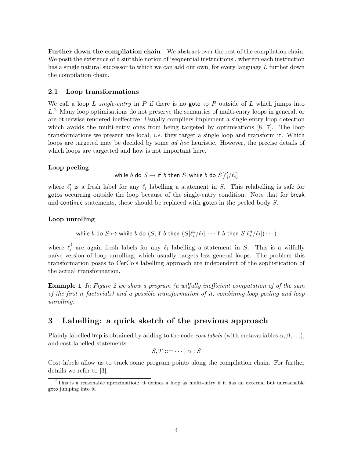Further down the compilation chain We abstract over the rest of the compilation chain. We posit the existence of a suitable notion of 'sequential instructions', wherein each instruction has a single natural successor to which we can add our own, for every language L further down the compilation chain.

#### 2.1 Loop transformations

We call a loop L single-entry in P if there is no goto to P outside of L which jumps into L.<sup>2</sup> Many loop optimisations do not preserve the semantics of multi-entry loops in general, or are otherwise rendered ineffective. Usually compilers implement a single-entry loop detection which avoids the multi-entry ones from being targeted by optimisations [8, 7]. The loop transformations we present are local, i.e. they target a single loop and transform it. Which loops are targeted may be decided by some ad hoc heuristic. However, the precise details of which loops are targetted and how is not important here.

#### Loop peeling

while  $b$  do  $S \mapsto \mathsf{if}~b$  then  $S;$  while  $b$  do  $S[\ell'_i/\ell_i]$ 

where  $\ell'_i$  is a fresh label for any  $\ell_i$  labelling a statement in S. This relabelling is safe for gotos occurring outside the loop because of the single-entry condition. Note that for break and continue statements, those should be replaced with gotos in the peeled body S.

#### Loop unrolling

while  $b$  do  $S \mapsto$  while  $b$  do  $(S; \text{if } b \text{ then } (S[\ell^1_i / \ell_i]; \cdots \text{if } b \text{ then } S[\ell_i^n / \ell_i]) \cdots)$ 

where  $\ell_i^j$ <sup>*i*</sup> are again fresh labels for any  $\ell_i$  labelling a statement in S. This is a wilfully naïve version of loop unrolling, which usually targets less general loops. The problem this transformation poses to CerCo's labelling approach are independent of the sophistication of the actual transformation.

Example 1 In Figure 2 we show a program (a wilfully inefficient computation of of the sum of the first n factorials) and a possible transformation of it, combining loop peeling and loop unrolling.

## 3 Labelling: a quick sketch of the previous approach

Plainly labelled Imp is obtained by adding to the code *cost labels* (with metavariables  $\alpha, \beta, \ldots$ ), and cost-labelled statements:

$$
S,T ::= \cdots | \alpha : S
$$

Cost labels allow us to track some program points along the compilation chain. For further details we refer to [3].

<sup>2</sup>This is a reasonable aproximation: it defines a loop as multi-entry if it has an external but unreachable goto jumping into it.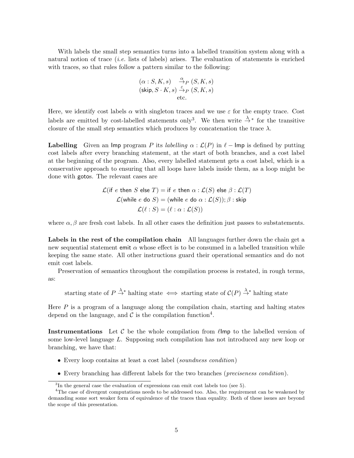With labels the small step semantics turns into a labelled transition system along with a natural notion of trace (i.e. lists of labels) arises. The evaluation of statements is enriched with traces, so that rules follow a pattern similar to the following:

$$
\begin{array}{ll} (\alpha:S,K,s) & \stackrel{\alpha}{\to}_P(S,K,s) \\ (\textrm{skip},S\cdot K,s) \stackrel{\varepsilon}{\to}_P(S,K,s) \\ \textrm{etc.} \end{array}
$$

Here, we identify cost labels  $\alpha$  with singleton traces and we use  $\varepsilon$  for the empty trace. Cost labels are emitted by cost-labelled statements only<sup>3</sup>. We then write  $\stackrel{\lambda}{\rightarrow}^*$  for the transitive closure of the small step semantics which produces by concatenation the trace  $\lambda$ .

**Labelling** Given an Imp program P its labelling  $\alpha : \mathcal{L}(P)$  in  $\ell$  – Imp is defined by putting cost labels after every branching statement, at the start of both branches, and a cost label at the beginning of the program. Also, every labelled statement gets a cost label, which is a conservative approach to ensuring that all loops have labels inside them, as a loop might be done with gotos. The relevant cases are

$$
\mathcal{L}(\text{if } e \text{ then } S \text{ else } T) = \text{if } e \text{ then } \alpha : \mathcal{L}(S) \text{ else } \beta : \mathcal{L}(T)
$$
\n
$$
\mathcal{L}(\text{while } e \text{ do } S) = (\text{while } e \text{ do } \alpha : \mathcal{L}(S)); \beta : \text{skip}
$$
\n
$$
\mathcal{L}(\ell : S) = (\ell : \alpha : \mathcal{L}(S))
$$

where  $\alpha$ ,  $\beta$  are fresh cost labels. In all other cases the definition just passes to substatements.

Labels in the rest of the compilation chain All languages further down the chain get a new sequential statement emit  $\alpha$  whose effect is to be consumed in a labelled transition while keeping the same state. All other instructions guard their operational semantics and do not emit cost labels.

Preservation of semantics throughout the compilation process is restated, in rough terms, as:

starting state of  $P \stackrel{\lambda}{\to}^*$  halting state  $\iff$  starting state of  $\mathcal{C}(P) \stackrel{\lambda}{\to}^*$  halting state

Here  $P$  is a program of a language along the compilation chain, starting and halting states depend on the language, and  $\mathcal C$  is the compilation function<sup>4</sup>.

Instrumentations Let  $\mathcal C$  be the whole compilation from  $\ell$ lmp to the labelled version of some low-level language L. Supposing such compilation has not introduced any new loop or branching, we have that:

- Every loop contains at least a cost label (soundness condition)
- Every branching has different labels for the two branches (preciseness condition).

<sup>&</sup>lt;sup>3</sup>In the general case the evaluation of expressions can emit cost labels too (see 5).

<sup>&</sup>lt;sup>4</sup>The case of divergent computations needs to be addressed too. Also, the requirement can be weakened by demanding some sort weaker form of equivalence of the traces than equality. Both of these issues are beyond the scope of this presentation.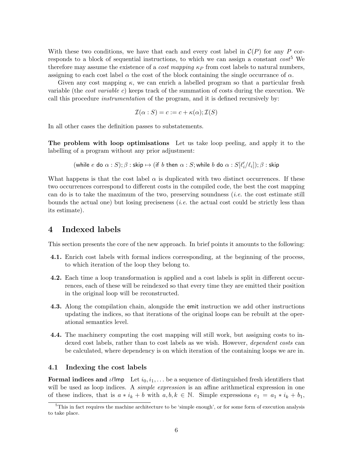With these two conditions, we have that each and every cost label in  $\mathcal{C}(P)$  for any P corresponds to a block of sequential instructions, to which we can assign a constant  $cost^5$  We therefore may assume the existence of a *cost mapping*  $\kappa_P$  from cost labels to natural numbers, assigning to each cost label  $\alpha$  the cost of the block containing the single occurrance of  $\alpha$ .

Given any cost mapping  $\kappa$ , we can enrich a labelled program so that a particular fresh variable (the cost variable c) keeps track of the summation of costs during the execution. We call this procedure instrumentation of the program, and it is defined recursively by:

$$
\mathcal{I}(\alpha : S) = c := c + \kappa(\alpha); \mathcal{I}(S)
$$

In all other cases the definition passes to substatements.

The problem with loop optimisations Let us take loop peeling, and apply it to the labelling of a program without any prior adjustment:

(which we have 
$$
e
$$
 do  $\alpha$  :  $S$ );  $\beta$  : skip  $\mapsto$  (if  $b$  then  $\alpha$  :  $S$ ; while  $b$  do  $\alpha$  :  $S[\ell_i'/\ell_i]$ );  $\beta$  : skip

What happens is that the cost label  $\alpha$  is duplicated with two distinct occurrences. If these two occurrences correspond to different costs in the compiled code, the best the cost mapping can do is to take the maximum of the two, preserving soundness (*i.e.* the cost estimate still bounds the actual one) but losing preciseness *(i.e.* the actual cost could be strictly less than its estimate).

## 4 Indexed labels

This section presents the core of the new approach. In brief points it amounts to the following:

- 4.1. Enrich cost labels with formal indices corresponding, at the beginning of the process, to which iteration of the loop they belong to.
- 4.2. Each time a loop transformation is applied and a cost labels is split in different occurrences, each of these will be reindexed so that every time they are emitted their position in the original loop will be reconstructed.
- 4.3. Along the compilation chain, alongside the emit instruction we add other instructions updating the indices, so that iterations of the original loops can be rebuilt at the operational semantics level.
- 4.4. The machinery computing the cost mapping will still work, but assigning costs to indexed cost labels, rather than to cost labels as we wish. However, *dependent costs* can be calculated, where dependency is on which iteration of the containing loops we are in.

#### 4.1 Indexing the cost labels

**Formal indices and**  $\ell$ Imp Let  $i_0, i_1, \ldots$  be a sequence of distinguished fresh identifiers that will be used as loop indices. A *simple expression* is an affine arithmetical expression in one of these indices, that is  $a * i_k + b$  with  $a, b, k \in \mathbb{N}$ . Simple expressions  $e_1 = a_1 * i_k + b_1$ ,

 $5$ This in fact requires the machine architecture to be 'simple enough', or for some form of execution analysis to take place.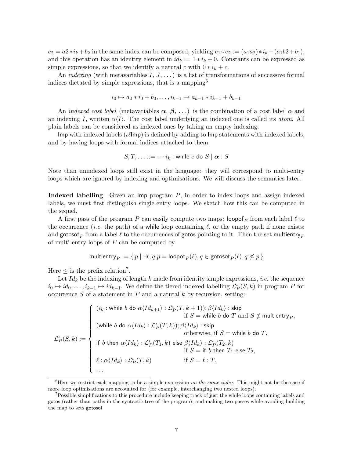$e_2 = a2 \cdot i_k + b_2$  in the same index can be composed, yielding  $e_1 \circ e_2 := (a_1 a_2) \cdot i_k + (a_1 b2 + b_1)$ , and this operation has an identity element in  $id_k := 1 * i_k + 0$ . Constants can be expressed as simple expressions, so that we identify a natural c with  $0 * i_k + c$ .

An *indexing* (with metavariables  $I, J, \ldots$ ) is a list of transformations of successive formal indices dictated by simple expressions, that is a mapping<sup>6</sup>

$$
i_0 \mapsto a_0 * i_0 + b_0, \dots, i_{k-1} \mapsto a_{k-1} * i_{k-1} + b_{k-1}
$$

An indexed cost label (metavariables  $\alpha, \beta, \ldots$ ) is the combination of a cost label  $\alpha$  and an indexing I, written  $\alpha\langle I\rangle$ . The cost label underlying an indexed one is called its *atom*. All plain labels can be considered as indexed ones by taking an empty indexing.

Imp with indexed labels ( $\iota\ell$ Imp) is defined by adding to Imp statements with indexed labels, and by having loops with formal indices attached to them:

$$
S, T, \ldots ::= \cdots i_k : \text{while } e \text{ do } S \mid \alpha : S
$$

Note than unindexed loops still exist in the language: they will correspond to multi-entry loops which are ignored by indexing and optimisations. We will discuss the semantics later.

Indexed labelling Given an Imp program P, in order to index loops and assign indexed labels, we must first distinguish single-entry loops. We sketch how this can be computed in the sequel.

A first pass of the program P can easily compute two maps:  $\log_{P}$  from each label  $\ell$  to the occurrence (*i.e.* the path) of a while loop containing  $\ell$ , or the empty path if none exists; and gotosof<sub>P</sub> from a label  $\ell$  to the occurrences of gotos pointing to it. Then the set multientry<sub>P</sub> of multi-entry loops of P can be computed by

multipmetry<sub>P</sub> := {
$$
p | \exists \ell, q \cdot p = \text{loopof}_P(\ell), q \in \text{gotosof}_P(\ell), q \nleq p
$$
}

Here  $\leq$  is the prefix relation<sup>7</sup>.

Let  $Id_k$  be the indexing of length k made from identity simple expressions, *i.e.* the sequence  $i_0 \mapsto id_0, \ldots, i_{k-1} \mapsto id_{k-1}$ . We define the tiered indexed labelling  $\mathcal{L}_P^{\iota}(S, k)$  in program P for occurrence  $S$  of a statement in  $P$  and a natural  $k$  by recursion, setting:

$$
\mathcal{L}^{\iota}_{P}(S,k) := \left\{ \begin{array}{ll} (i_{k}:\text{while }b \text{ do } \alpha \langle Id_{k+1} \rangle : \mathcal{L}^{\iota}_{P}(T,k+1)); \beta \langle Id_{k} \rangle : \text{skip} \\ \text{if } S = \text{while } b \text{ do } T \text{ and } S \notin \text{multientry}_{P}, \\ (\text{while } b \text{ do } \alpha \langle Id_{k} \rangle : \mathcal{L}^{\iota}_{P}(T,k)); \beta \langle Id_{k} \rangle : \text{skip} \\ \text{otherwise, if } S = \text{while } b \text{ do } T, \\ \text{if } b \text{ then } \alpha \langle Id_{k} \rangle : \mathcal{L}^{\iota}_{P}(T_{1},k) \text{ else } \beta \langle Id_{k} \rangle : \mathcal{L}^{\iota}_{P}(T_{2},k) \\ \text{if } S = \text{if } b \text{ then } T_{1} \text{ else } T_{2}, \\ \ell : \alpha \langle Id_{k} \rangle : \mathcal{L}^{\iota}_{P}(T,k) \qquad \text{if } S = \ell : T, \\ \dots \end{array} \right.
$$

<sup>&</sup>lt;sup>6</sup>Here we restrict each mapping to be a simple expression *on the same index*. This might not be the case if more loop optimisations are accounted for (for example, interchanging two nested loops).

<sup>7</sup>Possible simplifications to this procedure include keeping track of just the while loops containing labels and gotos (rather than paths in the syntactic tree of the program), and making two passes while avoiding building the map to sets gotosof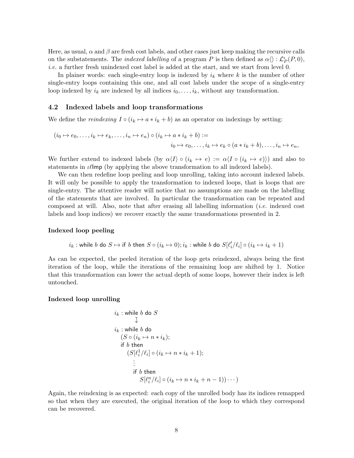Here, as usual,  $\alpha$  and  $\beta$  are fresh cost labels, and other cases just keep making the recursive calls on the substatements. The *indexed labelling* of a program P is then defined as  $\alpha \langle \rangle : \mathcal{L}_P^{\iota}(P, 0),$ i.e. a further fresh unindexed cost label is added at the start, and we start from level 0.

In plainer words: each single-entry loop is indexed by  $i_k$  where k is the number of other single-entry loops containing this one, and all cost labels under the scope of a single-entry loop indexed by  $i_k$  are indexed by all indices  $i_0, \ldots, i_k$ , without any transformation.

#### 4.2 Indexed labels and loop transformations

We define the *reindexing*  $I \circ (i_k \mapsto a * i_k + b)$  as an operator on indexings by setting:

$$
(i_0 \mapsto e_0, \dots, i_k \mapsto e_k, \dots, i_n \mapsto e_n) \circ (i_k \mapsto a * i_k + b) :=
$$
  

$$
i_0 \mapsto e_0, \dots, i_k \mapsto e_k \circ (a * i_k + b), \dots, i_n \mapsto e_n,
$$

We further extend to indexed labels (by  $\alpha \langle I \rangle \circ (i_k \mapsto e) := \alpha \langle I \circ (i_k \mapsto e) \rangle$ ) and also to statements in  $\ell \mathsf{Imp}$  (by applying the above transformation to all indexed labels).

We can then redefine loop peeling and loop unrolling, taking into account indexed labels. It will only be possible to apply the transformation to indexed loops, that is loops that are single-entry. The attentive reader will notice that no assumptions are made on the labelling of the statements that are involved. In particular the transformation can be repeated and composed at will. Also, note that after erasing all labelling information  $(i.e.$  indexed cost labels and loop indices) we recover exactly the same transformations presented in 2.

#### Indexed loop peeling

$$
i_k : \text{while } b \text{ do } S \mapsto \text{if } b \text{ then } S \circ (i_k \mapsto 0); i_k : \text{while } b \text{ do } S[\ell'_i/\ell_i] \circ (i_k \mapsto i_k + 1)
$$

As can be expected, the peeled iteration of the loop gets reindexed, always being the first iteration of the loop, while the iterations of the remaining loop are shifted by 1. Notice that this transformation can lower the actual depth of some loops, however their index is left untouched.

#### Indexed loop unrolling

$$
i_k : \text{while } b \text{ do } S
$$
  
\n
$$
\downarrow
$$
  
\n
$$
i_k : \text{while } b \text{ do}
$$
  
\n
$$
(S \circ (i_k \mapsto n * i_k);
$$
  
\nif  $b$  then  
\n
$$
(S[\ell_i^1 / \ell_i] \circ (i_k \mapsto n * i_k + 1);
$$
  
\n
$$
\vdots
$$
  
\nif  $b$  then  
\n
$$
S[\ell_i^n / \ell_i] \circ (i_k \mapsto n * i_k + n - 1)) \cdots)
$$

Again, the reindexing is as expected: each copy of the unrolled body has its indices remapped so that when they are executed, the original iteration of the loop to which they correspond can be recovered.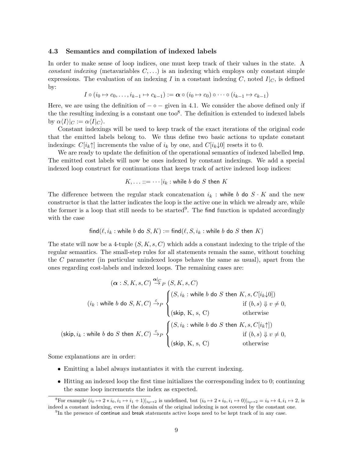#### 4.3 Semantics and compilation of indexed labels

In order to make sense of loop indices, one must keep track of their values in the state. A constant indexing (metavariables  $C, \ldots$ ) is an indexing which employs only constant simple expressions. The evaluation of an indexing I in a constant indexing C, noted  $I|_C$ , is defined by:

$$
I \circ (i_0 \mapsto c_0, \dots, i_{k-1} \mapsto c_{k-1}) := \boldsymbol{\alpha} \circ (i_0 \mapsto c_0) \circ \dots \circ (i_{k-1} \mapsto c_{k-1})
$$

Here, we are using the definition of  $-\circ -$  given in 4.1. We consider the above defined only if the the resulting indexing is a constant one too<sup>8</sup>. The definition is extended to indexed labels by  $\alpha \langle I \rangle|_C := \alpha \langle I|_C \rangle$ .

Constant indexings will be used to keep track of the exact iterations of the original code that the emitted labels belong to. We thus define two basic actions to update constant indexings:  $C[i_k \uparrow]$  increments the value of  $i_k$  by one, and  $C[i_k \downarrow 0]$  resets it to 0.

We are ready to update the definition of the operational semantics of indexed labelled Imp. The emitted cost labels will now be ones indexed by constant indexings. We add a special indexed loop construct for continuations that keeps track of active indexed loop indices:

$$
K, \ldots ::= \cdots | i_k : \text{while } b \text{ do } S \text{ then } K
$$

The difference between the regular stack concatenation  $i_k$ : while b do  $S \cdot K$  and the new constructor is that the latter indicates the loop is the active one in which we already are, while the former is a loop that still needs to be started<sup>9</sup>. The find function is updated accordingly with the case

find
$$
(\ell, i_k :
$$
while *b* do  $S, K) :=$ find $(\ell, S, i_k :$ while *b* do *S* then *K*)

The state will now be a 4-tuple  $(S, K, s, C)$  which adds a constant indexing to the triple of the regular semantics. The small-step rules for all statements remain the same, without touching the C parameter (in particular unindexed loops behave the same as usual), apart from the ones regarding cost-labels and indexed loops. The remaining cases are:

$$
(\alpha : S, K, s, C) \xrightarrow{\alpha|_{C}} [S, K, s, C)
$$
  
\n
$$
(i_{k} : \text{while } b \text{ do } S, K, C) \xrightarrow{\varepsilon} P \begin{cases} (S, i_{k} : \text{while } b \text{ do } S \text{ then } K, s, C[i_{k} \downarrow 0]) \\ \text{if } (b, s) \Downarrow v \neq 0, \\ (\text{skip, } K, s, C) \end{cases}
$$
  
\n
$$
(kip, i_{k} : \text{while } b \text{ do } S \text{ then } K, C) \xrightarrow{\varepsilon} P \begin{cases} (S, i_{k} : \text{while } b \text{ do } S \text{ then } K, s, C[i_{k} \uparrow]) \\ \text{if } (b, s) \Downarrow v \neq 0, \\ (\text{skip, } K, s, C) \end{cases}
$$
  
\n
$$
(kip, i_{k} : \text{while } b \text{ do } S \text{ then } K, C) \xrightarrow{\varepsilon} P \begin{cases} (S, i_{k} : \text{while } b \text{ do } S \text{ then } K, s, C[i_{k} \uparrow]) \\ \text{if } (b, s) \Downarrow v \neq 0, \\ (\text{skip, } K, s, C) \end{cases}
$$

Some explanations are in order:

- Emitting a label always instantiates it with the current indexing.
- Hitting an indexed loop the first time initializes the corresponding index to 0; continuing the same loop increments the index as expected.

<sup>&</sup>lt;sup>8</sup>For example  $(i_0 \mapsto 2 * i_0, i_1 \mapsto i_1 + 1)|_{i_0 \mapsto 2}$  is undefined, but  $(i_0 \mapsto 2 * i_0, i_1 \mapsto 0)|_{i_0 \mapsto 2} = i_0 \mapsto 4, i_1 \mapsto 2$ , is indeed a constant indexing, even if the domain of the original indexing is not covered by the constant one.

<sup>&</sup>lt;sup>9</sup>In the presence of continue and break statements active loops need to be kept track of in any case.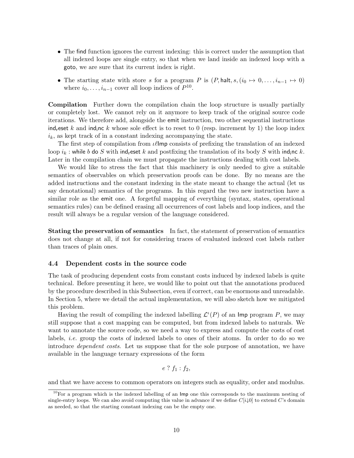- The find function ignores the current indexing: this is correct under the assumption that all indexed loops are single entry, so that when we land inside an indexed loop with a goto, we are sure that its current index is right.
- The starting state with store s for a program P is  $(P, \text{halt}, s, (i_0 \mapsto 0, \ldots, i_{n-1} \mapsto 0)$ where  $i_0, \ldots, i_{n-1}$  cover all loop indices of  $P^{10}$ .

Compilation Further down the compilation chain the loop structure is usually partially or completely lost. We cannot rely on it anymore to keep track of the original source code iterations. We therefore add, alongside the emit instruction, two other sequential instructions ind, eset k and indinc k whose sole effect is to reset to 0 (resp. increment by 1) the loop index  $i_k$ , as kept track of in a constant indexing accompanying the state.

The first step of compilation from  $\iota\ell$ Imp consists of prefixing the translation of an indexed loop  $i_k$ : while b do S with ind<sub>r</sub>eset k and postfixing the translation of its body S with ind<sub>i</sub>nc k. Later in the compilation chain we must propagate the instructions dealing with cost labels.

We would like to stress the fact that this machinery is only needed to give a suitable semantics of observables on which preservation proofs can be done. By no means are the added instructions and the constant indexing in the state meant to change the actual (let us say denotational) semantics of the programs. In this regard the two new instruction have a similar role as the emit one. A forgetful mapping of everything (syntax, states, operational semantics rules) can be defined erasing all occurrences of cost labels and loop indices, and the result will always be a regular version of the language considered.

Stating the preservation of semantics In fact, the statement of preservation of semantics does not change at all, if not for considering traces of evaluated indexed cost labels rather than traces of plain ones.

#### 4.4 Dependent costs in the source code

The task of producing dependent costs from constant costs induced by indexed labels is quite technical. Before presenting it here, we would like to point out that the annotations produced by the procedure described in this Subsection, even if correct, can be enormous and unreadable. In Section 5, where we detail the actual implementation, we will also sketch how we mitigated this problem.

Having the result of compiling the indexed labelling  $\mathcal{L}^{\iota}(P)$  of an Imp program P, we may still suppose that a cost mapping can be computed, but from indexed labels to naturals. We want to annotate the source code, so we need a way to express and compute the costs of cost labels, i.e. group the costs of indexed labels to ones of their atoms. In order to do so we introduce dependent costs. Let us suppose that for the sole purpose of annotation, we have available in the language ternary expressions of the form

$$
e ? f_1 : f_2,
$$

and that we have access to common operators on integers such as equality, order and modulus.

 $10$ For a program which is the indexed labelling of an Imp one this corresponds to the maximum nesting of single-entry loops. We can also avoid computing this value in advance if we define  $C[i\downarrow 0]$  to extend C's domain as needed, so that the starting constant indexing can be the empty one.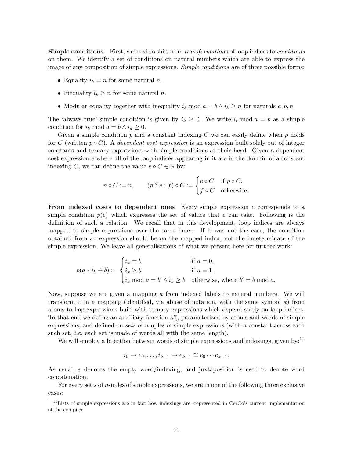**Simple conditions** First, we need to shift from *transformations* of loop indices to *conditions* on them. We identify a set of conditions on natural numbers which are able to express the image of any composition of simple expressions. Simple conditions are of three possible forms:

- Equality  $i_k = n$  for some natural n.
- Inequality  $i_k \geq n$  for some natural *n*.
- Modular equality together with inequality  $i_k \mod a = b \land i_k \geq n$  for naturals  $a, b, n$ .

The 'always true' simple condition is given by  $i_k \geq 0$ . We write  $i_k \mod a = b$  as a simple condition for  $i_k \mod a = b \land i_k \geq 0$ .

Given a simple condition  $p$  and a constant indexing  $C$  we can easily define when  $p$  holds for C (written  $p \circ C$ ). A dependent cost expression is an expression built solely out of integer constants and ternary expressions with simple conditions at their head. Given a dependent  $\cos t$  expression  $e$  where all of the loop indices appearing in it are in the domain of a constant indexing C, we can define the value  $e \circ C \in \mathbb{N}$  by:

$$
n \circ C := n, \qquad (p \mathrel{?} e : f) \circ C := \begin{cases} e \circ C & \text{if } p \circ C, \\ f \circ C & \text{otherwise.} \end{cases}
$$

From indexed costs to dependent ones Every simple expression  $e$  corresponds to a simple condition  $p(e)$  which expresses the set of values that e can take. Following is the definition of such a relation. We recall that in this development, loop indices are always mapped to simple expressions over the same index. If it was not the case, the condition obtained from an expression should be on the mapped index, not the indeterminate of the simple expression. We leave all generalisations of what we present here for further work:

$$
p(a * i_k + b) := \begin{cases} i_k = b & \text{if } a = 0, \\ i_k \ge b & \text{if } a = 1, \\ i_k \bmod a = b' \land i_k \ge b & \text{otherwise, where } b' = b \bmod a. \end{cases}
$$

Now, suppose we are given a mapping  $\kappa$  from indexed labels to natural numbers. We will transform it in a mapping (identified, via abuse of notation, with the same symbol  $\kappa$ ) from atoms to Imp expressions built with ternary expressions which depend solely on loop indices. To that end we define an auxiliary function  $\kappa_L^{\alpha}$ , parameterized by atoms and words of simple expressions, and defined on *sets* of *n*-uples of simple expressions (with *n* constant across each such set, *i.e.* each set is made of words all with the same length).

We will employ a bijection between words of simple expressions and indexings, given by:<sup>11</sup>

$$
i_0 \mapsto e_0, \dots, i_{k-1} \mapsto e_{k-1} \cong e_0 \cdots e_{k-1}.
$$

As usual,  $\varepsilon$  denotes the empty word/indexing, and juxtaposition is used to denote word concatenation.

For every set s of n-uples of simple expressions, we are in one of the following three exclusive cases:

 $11$ Lists of simple expressions are in fact how indexings are -represented in CerCo's current implementation of the compiler.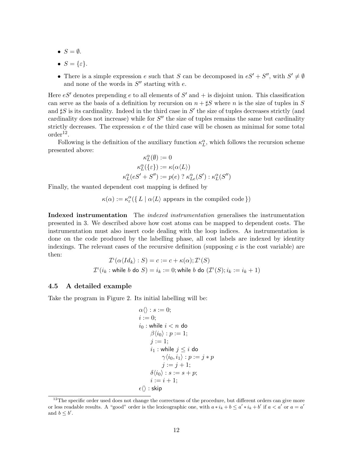- $S = \emptyset$ .
- $S = \{\varepsilon\}.$
- There is a simple expression e such that S can be decomposed in  $eS' + S''$ , with  $S' \neq \emptyset$ and none of the words in  $S''$  starting with e.

Here  $eS'$  denotes prepending e to all elements of S' and  $+$  is disjoint union. This classification can serve as the basis of a definition by recursion on  $n + \sharp S$  where n is the size of tuples in S and  $\sharp S$  is its cardinality. Indeed in the third case in  $S'$  the size of tuples decreases strictly (and cardinality does not increase) while for  $S''$  the size of tuples remains the same but cardinality strictly decreases. The expression  $e$  of the third case will be chosen as minimal for some total  $\text{order}^{12}$ .

Following is the definition of the auxiliary function  $\kappa_L^{\alpha}$ , which follows the recursion scheme presented above:

$$
\kappa_L^{\alpha}(\emptyset) := 0
$$
  
\n
$$
\kappa_L^{\alpha}(\{\varepsilon\}) := \kappa(\alpha \langle L \rangle)
$$
  
\n
$$
\kappa_L^{\alpha}(eS' + S'') := p(e) ? \kappa_{Le}^{\alpha}(S') : \kappa_L^{\alpha}(S'')
$$

Finally, the wanted dependent cost mapping is defined by

 $\kappa(\alpha) := \kappa_{\varepsilon}^{\alpha}(\{ L \mid \alpha \langle L \rangle \text{ appears in the compiled code }\})$ 

Indexed instrumentation The *indexed instrumentation* generalises the instrumentation presented in 3. We described above how cost atoms can be mapped to dependent costs. The instrumentation must also insert code dealing with the loop indices. As instrumentation is done on the code produced by the labelling phase, all cost labels are indexed by identity indexings. The relevant cases of the recursive definition (supposing  $c$  is the cost variable) are then:

$$
\mathcal{I}^{t}(\alpha \langle Id_{k} \rangle : S) = c := c + \kappa(\alpha); \mathcal{I}^{t}(S)
$$
  

$$
\mathcal{I}^{t}(i_{k} : \text{while } b \text{ do } S) = i_{k} := 0; \text{while } b \text{ do } (\mathcal{I}^{t}(S); i_{k} := i_{k} + 1)
$$

#### 4.5 A detailed example

Take the program in Figure 2. Its initial labelling will be:

$$
\alpha \langle \rangle : s := 0;
$$
  
\n $i := 0;$   
\n $i_0 : \text{while } i < n \text{ do}$   
\n
$$
\beta \langle i_0 \rangle : p := 1;
$$
  
\n $j := 1;$   
\n $i_1 : \text{while } j \leq i \text{ do}$   
\n
$$
\gamma \langle i_0, i_1 \rangle : p := j * p
$$
  
\n $j := j + 1;$   
\n
$$
\delta \langle i_0 \rangle : s := s + p;
$$
  
\n $i := i + 1;$   
\n $\epsilon \langle \rangle : \text{skip}$ 

 $12$ The specific order used does not change the correctness of the procedure, but different orders can give more or less readable results. A "good" order is the lexicographic one, with  $a * i_k + b \le a' * i_k + b'$  if  $a < a'$  or  $a = a'$ and  $b \leq b'$ .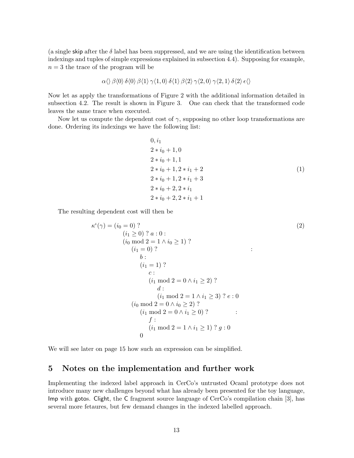(a single skip after the  $\delta$  label has been suppressed, and we are using the identification between indexings and tuples of simple expressions explained in subsection 4.4). Supposing for example,  $n = 3$  the trace of the program will be

$$
\alpha \langle \rangle \beta \langle 0 \rangle \delta \langle 0 \rangle \beta \langle 1 \rangle \gamma \langle 1, 0 \rangle \delta \langle 1 \rangle \beta \langle 2 \rangle \gamma \langle 2, 0 \rangle \gamma \langle 2, 1 \rangle \delta \langle 2 \rangle \epsilon \langle \rangle
$$

Now let as apply the transformations of Figure 2 with the additional information detailed in subsection 4.2. The result is shown in Figure 3. One can check that the transformed code leaves the same trace when executed.

Now let us compute the dependent cost of  $\gamma$ , supposing no other loop transformations are done. Ordering its indexings we have the following list:

 $\sim$ 

$$
0, i1\n2 * i0 + 1, 0\n2 * i0 + 1, 1\n2 * i0 + 1, 2 * i1 + 2\n2 * i0 + 1, 2 * i1 + 3\n2 * i0 + 2, 2 * i1\n2 * i0 + 2, 2 * i1 + 1
$$
\n(1)

The resulting dependent cost will then be

κ ι (γ) = (i<sup>0</sup> = 0) ? (i<sup>1</sup> ≥ 0) ? a : 0 : (i<sup>0</sup> mod 2 = 1 ∧ i<sup>0</sup> ≥ 1) ? (i<sup>1</sup> = 0) ? b : (i<sup>1</sup> = 1) ? c : (i<sup>1</sup> mod 2 = 0 ∧ i<sup>1</sup> ≥ 2) ? d : (i<sup>1</sup> mod 2 = 1 ∧ i<sup>1</sup> ≥ 3) ? e : 0 : (i<sup>0</sup> mod 2 = 0 ∧ i<sup>0</sup> ≥ 2) ? (i<sup>1</sup> mod 2 = 0 ∧ i<sup>1</sup> ≥ 0) ? f : (i<sup>1</sup> mod 2 = 1 ∧ i<sup>1</sup> ≥ 1) ? g : 0 : 0 (2)

We will see later on page 15 how such an expression can be simplified.

## 5 Notes on the implementation and further work

Implementing the indexed label approach in CerCo's untrusted Ocaml prototype does not introduce many new challenges beyond what has already been presented for the toy language, Imp with gotos. Clight, the C fragment source language of CerCo's compilation chain [3], has several more fetaures, but few demand changes in the indexed labelled approach.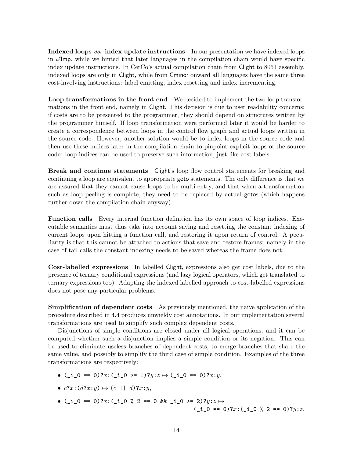Indexed loops vs. index update instructions In our presentation we have indexed loops in  $\ell$ lmp, while we hinted that later languages in the compilation chain would have specific index update instructions. In CerCo's actual compilation chain from Clight to 8051 assembly, indexed loops are only in Clight, while from Cminor onward all languages have the same three cost-involving instructions: label emitting, index resetting and index incrementing.

Loop transformations in the front end We decided to implement the two loop transformations in the front end, namely in Clight. This decision is due to user readability concerns: if costs are to be presented to the programmer, they should depend on structures written by the programmer himself. If loop transformation were performed later it would be harder to create a correspondence between loops in the control flow graph and actual loops written in the source code. However, another solution would be to index loops in the source code and then use these indices later in the compilation chain to pinpoint explicit loops of the source code: loop indices can be used to preserve such information, just like cost labels.

Break and continue statements Clight's loop flow control statements for breaking and continuing a loop are equivalent to appropriate goto statements. The only difference is that we are assured that they cannot cause loops to be multi-entry, and that when a transformation such as loop peeling is complete, they need to be replaced by actual gotos (which happens further down the compilation chain anyway).

Function calls Every internal function definition has its own space of loop indices. Executable semantics must thus take into account saving and resetting the constant indexing of current loops upon hitting a function call, and restoring it upon return of control. A peculiarity is that this cannot be attached to actions that save and restore frames: namely in the case of tail calls the constant indexing needs to be saved whereas the frame does not.

Cost-labelled expressions In labelled Clight, expressions also get cost labels, due to the presence of ternary conditional expressions (and lazy logical operators, which get translated to ternary expressions too). Adapting the indexed labelled approach to cost-labelled expressions does not pose any particular problems.

Simplification of dependent costs As previously mentioned, the naïve application of the procedure described in 4.4 produces unwieldy cost annotations. In our implementation several transformations are used to simplify such complex dependent costs.

Disjunctions of simple conditions are closed under all logical operations, and it can be computed whether such a disjunction implies a simple condition or its negation. This can be used to eliminate useless branches of dependent costs, to merge branches that share the same value, and possibly to simplify the third case of simple condition. Examples of the three transformations are respectively:

- ( $_i = 0$  == 0)?x:( $_i = 0$  >= 1)?y: $z \mapsto (i_0 = 0)$ ?x:y,
- $c$ ?x: $(d$ ?x: $y) \mapsto (c \mid d)$ ?x: $y$ ,
- (\_i\_0 == 0)?x:(\_i\_0 % 2 == 0 && \_i\_0 >= 2)?y: $z \mapsto$  $(\_i_0 = 0)$ ?x: $(\_i_0 \times 2 = 0)$ ?y:z.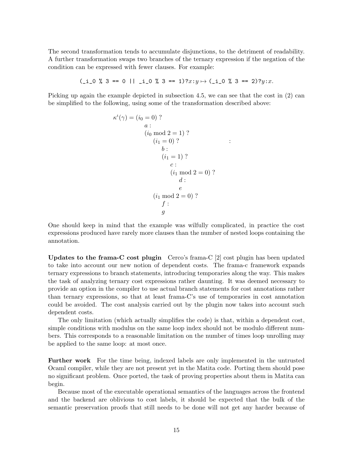The second transformation tends to accumulate disjunctions, to the detriment of readability. A further transformation swaps two branches of the ternary expression if the negation of the condition can be expressed with fewer clauses. For example:

$$
(\underline{\text{i}} \underline{\hspace{0.1cm}} 0 \ \ \text{% } 3 == 0 \ \ | \ \underline{\hspace{0.1cm}} \underline{\hspace{0.1cm}} 1 \underline{\hspace{0.1cm}} 0 \ \ \text{% } 3 == 1) ? x : y \mapsto (\underline{\hspace{0.1cm}} \underline{\hspace{0.1cm}} 1 \underline{\hspace{0.1cm}} 0 \ \ \text{% } 3 == 2) ? y : x.
$$

Picking up again the example depicted in subsection 4.5, we can see that the cost in  $(2)$  can be simplified to the following, using some of the transformation described above:

$$
\kappa^{t}(\gamma) = (i_{0} = 0) ?
$$
\n*a* :  
\n*(i<sub>0</sub> mod 2 = 1) ?*  
\n*(i<sub>1</sub> = 0) ?*  
\n*b* :  
\n*(i<sub>1</sub> = 1) ?*  
\n*c* :  
\n*(i<sub>1</sub> mod 2 = 0) ?*  
\n*d* :  
\n*e*  
\n*(i<sub>1</sub> mod 2 = 0) ?*  
\n*f* :  
\n*g*

One should keep in mind that the example was wilfully complicated, in practice the cost expressions produced have rarely more clauses than the number of nested loops containing the annotation.

Updates to the frama-C cost plugin Cerco's frama-C [2] cost plugin has been updated to take into account our new notion of dependent costs. The frama-c framework expands ternary expressions to branch statements, introducing temporaries along the way. This makes the task of analyzing ternary cost expressions rather daunting. It was deemed necessary to provide an option in the compiler to use actual branch statements for cost annotations rather than ternary expressions, so that at least frama-C's use of temporaries in cost annotation could be avoided. The cost analysis carried out by the plugin now takes into account such dependent costs.

The only limitation (which actually simplifies the code) is that, within a dependent cost, simple conditions with modulus on the same loop index should not be modulo different numbers. This corresponds to a reasonable limitation on the number of times loop unrolling may be applied to the same loop: at most once.

Further work For the time being, indexed labels are only implemented in the untrusted Ocaml compiler, while they are not present yet in the Matita code. Porting them should pose no significant problem. Once ported, the task of proving properties about them in Matita can begin.

Because most of the executable operational semantics of the languages across the frontend and the backend are oblivious to cost labels, it should be expected that the bulk of the semantic preservation proofs that still needs to be done will not get any harder because of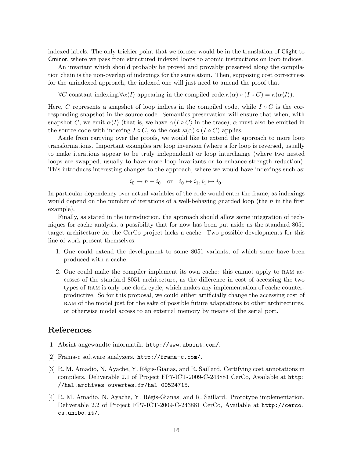indexed labels. The only trickier point that we foresee would be in the translation of Clight to Cminor, where we pass from structured indexed loops to atomic instructions on loop indices.

An invariant which should probably be proved and provably preserved along the compilation chain is the non-overlap of indexings for the same atom. Then, supposing cost correctness for the unindexed approach, the indexed one will just need to amend the proof that

 $\forall C$  constant indexing. $\forall \alpha \langle I \rangle$  appearing in the compiled code. $\kappa(\alpha) \circ (I \circ C) = \kappa(\alpha \langle I \rangle)$ .

Here, C represents a snapshot of loop indices in the compiled code, while  $I \circ C$  is the corresponding snapshot in the source code. Semantics preservation will ensure that when, with snapshot C, we emit  $\alpha\langle I\rangle$  (that is, we have  $\alpha\langle I\circ C\rangle$  in the trace),  $\alpha$  must also be emitted in the source code with indexing  $I \circ C$ , so the cost  $\kappa(\alpha) \circ (I \circ C)$  applies.

Aside from carrying over the proofs, we would like to extend the approach to more loop transformations. Important examples are loop inversion (where a for loop is reversed, usually to make iterations appear to be truly independent) or loop interchange (where two nested loops are swapped, usually to have more loop invariants or to enhance strength reduction). This introduces interesting changes to the approach, where we would have indexings such as:

$$
i_0 \mapsto n - i_0
$$
 or  $i_0 \mapsto i_1, i_1 \mapsto i_0$ .

In particular dependency over actual variables of the code would enter the frame, as indexings would depend on the number of iterations of a well-behaving guarded loop (the  $n$  in the first example).

Finally, as stated in the introduction, the approach should allow some integration of techniques for cache analysis, a possibility that for now has been put aside as the standard 8051 target architecture for the CerCo project lacks a cache. Two possible developments for this line of work present themselves:

- 1. One could extend the development to some 8051 variants, of which some have been produced with a cache.
- 2. One could make the compiler implement its own cache: this cannot apply to ram accesses of the standard 8051 architecture, as the difference in cost of accessing the two types of ram is only one clock cycle, which makes any implementation of cache counterproductive. So for this proposal, we could either artificially change the accessing cost of ram of the model just for the sake of possible future adaptations to other architectures, or otherwise model access to an external memory by means of the serial port.

## References

- [1] Absint angewandte informatik. http://www.absint.com/.
- [2] Frama-c software analyzers. http://frama-c.com/.
- [3] R. M. Amadio, N. Ayache, Y. Régis-Gianas, and R. Saillard. Certifying cost annotations in compilers. Deliverable 2.1 of Project FP7-ICT-2009-C-243881 CerCo, Available at http: //hal.archives-ouvertes.fr/hal-00524715.
- [4] R. M. Amadio, N. Ayache, Y. Régis-Gianas, and R. Saillard. Prototype implementation. Deliverable 2.2 of Project FP7-ICT-2009-C-243881 CerCo, Available at http://cerco. cs.unibo.it/.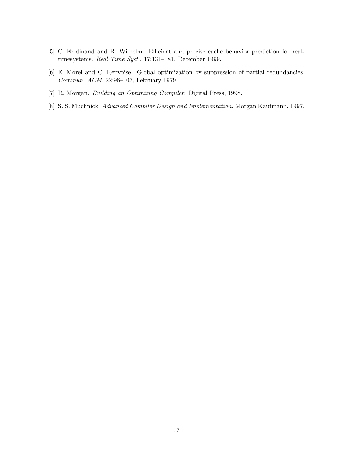- [5] C. Ferdinand and R. Wilhelm. Efficient and precise cache behavior prediction for realtimesystems. Real-Time Syst., 17:131–181, December 1999.
- [6] E. Morel and C. Renvoise. Global optimization by suppression of partial redundancies. Commun. ACM, 22:96–103, February 1979.
- [7] R. Morgan. Building an Optimizing Compiler. Digital Press, 1998.
- [8] S. S. Muchnick. Advanced Compiler Design and Implementation. Morgan Kaufmann, 1997.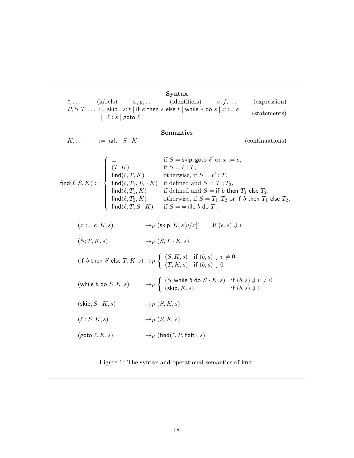| Syntax |                                       |  |                                                                                  |  |              |  |  |
|--------|---------------------------------------|--|----------------------------------------------------------------------------------|--|--------------|--|--|
|        |                                       |  | $\ell, \ldots$ (labels) $x, y, \ldots$ (identifiers) $e, f, \ldots$ (expression) |  |              |  |  |
|        | $\left  \ell : s \right $ goto $\ell$ |  | $P, S, T, \ldots ::=$ skip $ s;t $ if e then s else t   while e do s $ x := e$   |  | (statements) |  |  |

## Semantics

$$
K, \ldots \qquad ::= \mathsf{halt} \mid S \cdot K \tag{continuations}
$$

|                                                                                                                                         | if $S =$ skip, goto $\ell'$ or $x := e$ ,                                                                                                                                                                                                                                                                                                                                                                         |
|-----------------------------------------------------------------------------------------------------------------------------------------|-------------------------------------------------------------------------------------------------------------------------------------------------------------------------------------------------------------------------------------------------------------------------------------------------------------------------------------------------------------------------------------------------------------------|
|                                                                                                                                         |                                                                                                                                                                                                                                                                                                                                                                                                                   |
|                                                                                                                                         |                                                                                                                                                                                                                                                                                                                                                                                                                   |
|                                                                                                                                         | $\text{find}(\ell, S, K) := \left\{ \begin{array}{ll} \bot & \text{if } S = \text{skip}, \text{goto } \ell' \text{ or } x \\ (T, K) & \text{if } S = \ell : T, \\ \text{find}(\ell, T, K) & \text{otherwise, if } S = \ell' : T, \\ \text{find}(\ell, T_1, T_2 \cdot K) & \text{if defined and } S = T_1; T_2, \\ \text{find}(\ell, T_1, T_2 \cdot K) & \text{if defined and } S = T_1; T_2, \end{array} \right.$ |
| $\left\{ \begin{array}{l} \mathsf{find}(\ell,T_1,K) \\ \mathsf{find}(\ell,T_2,K) \\ \mathsf{find}(\ell,T,S\cdot K) \end{array} \right.$ | if defined and $S =$ if b then $T_1$ else $T_2$ ,                                                                                                                                                                                                                                                                                                                                                                 |
|                                                                                                                                         | otherwise, if $S = T_1; T_2$ or if b then $T_1$ else $T_2$ ,                                                                                                                                                                                                                                                                                                                                                      |
|                                                                                                                                         | if $S =$ while b do $T$ .                                                                                                                                                                                                                                                                                                                                                                                         |
|                                                                                                                                         |                                                                                                                                                                                                                                                                                                                                                                                                                   |

$$
(x := e, K, s) \longrightarrow_P (\text{skip}, K, s[v/x]) \quad \text{if } (e, s) \Downarrow v
$$

$$
(S;T,K,s) \longrightarrow_P (S,T \cdot K,s)
$$

$$
\label{eq:3.1} \begin{array}{ll} \mbox{(if $b$ then $S$ else $T,K,s$)} \rightarrow_P \left\{ \begin{array}{ll} (S,K,s) & \mbox{if $(b,s)$ $\Downarrow$} \, v \neq 0 \\ (T,K,s) & \mbox{if $(b,s)$ $\Downarrow$} \, 0 \end{array} \right. \end{array}
$$

(while b do  $S, K, s$ )  $\longrightarrow_P$  $\int (S, \text{while } b \text{ do } S \cdot K, s) \text{ if } (b, s) \Downarrow v \neq 0$ (skip,  $K, s$ ) if  $(b, s) \Downarrow 0$ 

 $(\textsf{skip}, S \cdot K, s) \longrightarrow_P (S, K, s)$ 

$$
(\ell: S, K, s) \longrightarrow_P (S, K, s)
$$

$$
(\text{goto }\ell,K,s)\qquad \qquad \mathop{\rightarrow} _P(\text{find} (\ell,P,\text{halt}),s)
$$

Figure 1: The syntax and operational semantics of Imp.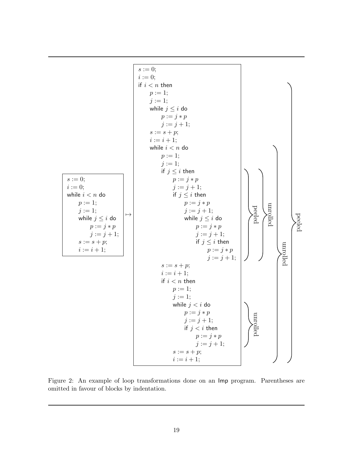

Figure 2: An example of loop transformations done on an Imp program. Parentheses are omitted in favour of blocks by indentation.